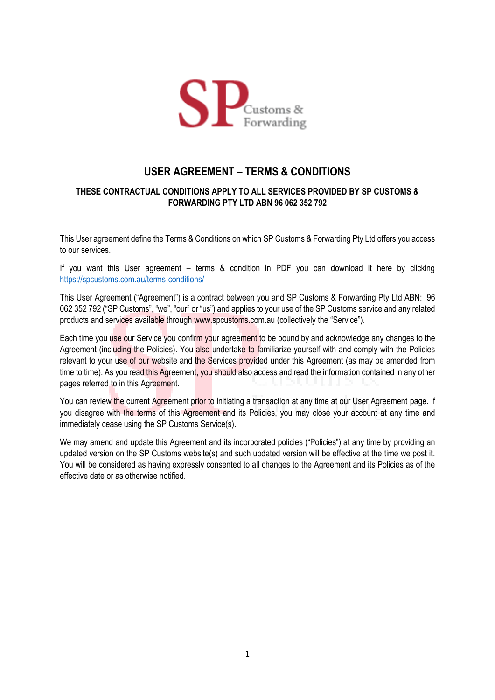

## **USER AGREEMENT – TERMS & CONDITIONS**

#### **THESE CONTRACTUAL CONDITIONS APPLY TO ALL SERVICES PROVIDED BY SP CUSTOMS & FORWARDING PTY LTD ABN 96 062 352 792**

This User agreement define the Terms & Conditions on which SP Customs & Forwarding Pty Ltd offers you access to our services.

If you want this User agreement – terms & condition in PDF you can download it here by clicking <https://spcustoms.com.au/terms-conditions/>

This User Agreement ("Agreement") is a contract between you and SP Customs & Forwarding Pty Ltd ABN: 96 062 352 792 ("SP Customs", "we", "our" or "us") and applies to your use of the SP Customs service and any related products and services available through www.spcustoms.com.au (collectively the "Service").

Each time you use our Service you confirm your agreement to be bound by and acknowledge any changes to the Agreement (including the Policies). You also undertake to familiarize yourself with and comply with the Policies relevant to your use of our website and the Services provided under this Agreement (as may be amended from time to time). As you read this Agreement, you should also access and read the information contained in any other pages referred to in this Agreement.

You can review the current Agreement prior to initiating a transaction at any time at our User Agreement page. If you disagree with the terms of this Agreement and its Policies, you may close your account at any time and immediately cease using the SP Customs Service(s).

We may amend and update this Agreement and its incorporated policies ("Policies") at any time by providing an updated version on the SP Customs website(s) and such updated version will be effective at the time we post it. You will be considered as having expressly consented to all changes to the Agreement and its Policies as of the effective date or as otherwise notified.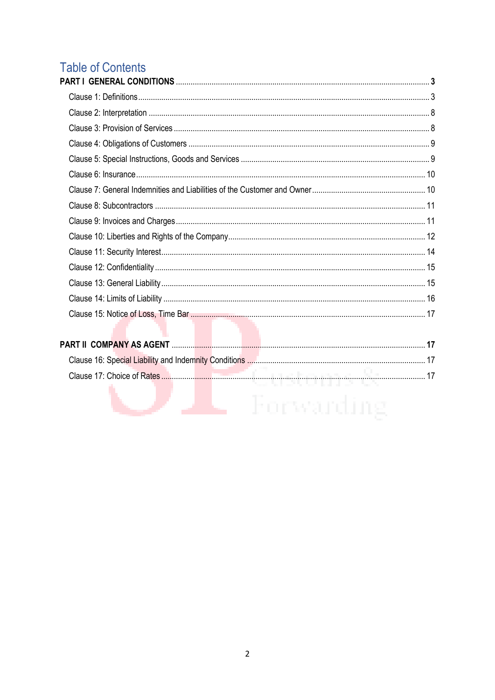# **Table of Contents**

÷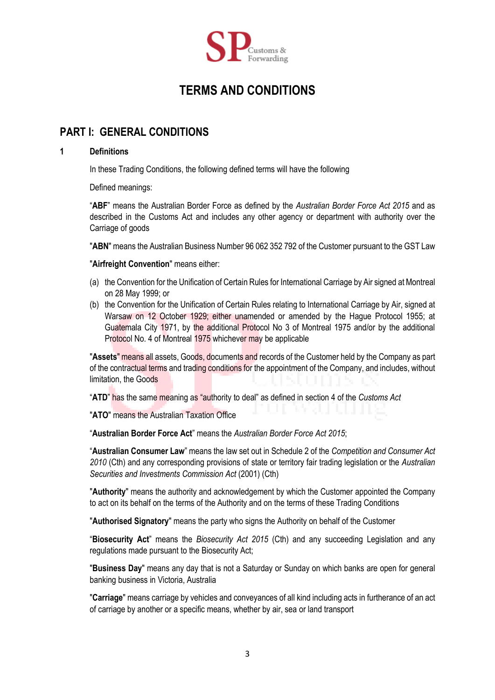

## **TERMS AND CONDITIONS**

## **PART I: GENERAL CONDITIONS**

#### **1 Definitions**

In these Trading Conditions, the following defined terms will have the following

Defined meanings:

"**ABF**" means the Australian Border Force as defined by the *Australian Border Force Act 2015* and as described in the Customs Act and includes any other agency or department with authority over the Carriage of goods

"**ABN**" means the Australian Business Number 96 062 352 792 of the Customer pursuant to the GST Law

"**Airfreight Convention**" means either:

- (a) the Convention for the Unification of Certain Rules for International Carriage by Air signed at Montreal on 28 May 1999; or
- (b) the Convention for the Unification of Certain Rules relating to International Carriage by Air, signed at Warsaw on 12 October 1929; either unamended or amended by the Hague Protocol 1955; at Guatemala City 1971, by the additional Protocol No 3 of Montreal 1975 and/or by the additional Protocol No. 4 of Montreal 1975 whichever may be applicable

"**Assets**" means all assets, Goods, documents and records of the Customer held by the Company as part of the contractual terms and trading conditions for the appointment of the Company, and includes, without limitation, the Goods

"**ATD**" has the same meaning as "authority to deal" as defined in section 4 of the *Customs Act*

"**ATO**" means the Australian Taxation Office

"**Australian Border Force Act**" means the *Australian Border Force Act 2015*;

"**Australian Consumer Law**" means the law set out in Schedule 2 of the *Competition and Consumer Act 2010* (Cth) and any corresponding provisions of state or territory fair trading legislation or the *Australian Securities and Investments Commission Act* (2001) (Cth)

"**Authority**" means the authority and acknowledgement by which the Customer appointed the Company to act on its behalf on the terms of the Authority and on the terms of these Trading Conditions

"**Authorised Signatory**" means the party who signs the Authority on behalf of the Customer

"**Biosecurity Act**" means the *Biosecurity Act 2015* (Cth) and any succeeding Legislation and any regulations made pursuant to the Biosecurity Act;

"**Business Day**" means any day that is not a Saturday or Sunday on which banks are open for general banking business in Victoria, Australia

"**Carriage**" means carriage by vehicles and conveyances of all kind including acts in furtherance of an act of carriage by another or a specific means, whether by air, sea or land transport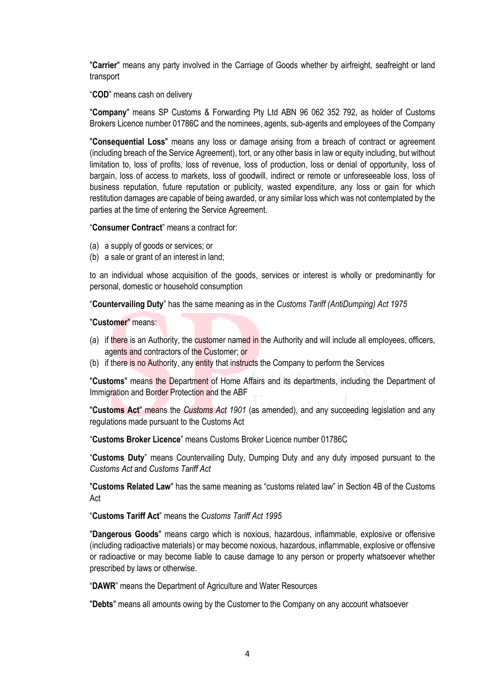"**Carrier**" means any party involved in the Carriage of Goods whether by airfreight, seafreight or land transport

"**COD**" means cash on delivery

"**Company**" means SP Customs & Forwarding Pty Ltd ABN 96 062 352 792, as holder of Customs Brokers Licence number 01786C and the nominees, agents, sub-agents and employees of the Company

"**Consequential Loss**" means any loss or damage arising from a breach of contract or agreement (including breach of the Service Agreement), tort, or any other basis in law or equity including, but without limitation to, loss of profits, loss of revenue, loss of production, loss or denial of opportunity, loss of bargain, loss of access to markets, loss of goodwill, indirect or remote or unforeseeable loss, loss of business reputation, future reputation or publicity, wasted expenditure, any loss or gain for which restitution damages are capable of being awarded, or any similar loss which was not contemplated by the parties at the time of entering the Service Agreement.

"**Consumer Contract**" means a contract for:

- (a) a supply of goods or services; or
- (b) a sale or grant of an interest in land;

to an individual whose acquisition of the goods, services or interest is wholly or predominantly for personal, domestic or household consumption

"**Countervailing Duty**" has the same meaning as in the *Customs Tariff (AntiDumping) Act 1975*

"**Customer**" means:

- (a) if there is an Authority, the customer named in the Authority and will include all employees, officers, agents and contractors of the Customer; or
- (b) if there is no Authority, any entity that instructs the Company to perform the Services

"**Customs**" means the Department of Home Affairs and its departments, including the Department of Immigration and Border Protection and the ABF

"**Customs Act**" means the *Customs Act 1901* (as amended), and any succeeding legislation and any regulations made pursuant to the Customs Act

"**Customs Broker Licence**" means Customs Broker Licence number 01786C

"**Customs Duty**" means Countervailing Duty, Dumping Duty and any duty imposed pursuant to the *Customs Act* and *Customs Tariff Act*

"**Customs Related Law**" has the same meaning as "customs related law" in Section 4B of the Customs Act

"**Customs Tariff Act**" means the *Customs Tariff Act 1995*

"**Dangerous Goods**" means cargo which is noxious, hazardous, inflammable, explosive or offensive (including radioactive materials) or may become noxious, hazardous, inflammable, explosive or offensive or radioactive or may become liable to cause damage to any person or property whatsoever whether prescribed by laws or otherwise.

"**DAWR**" means the Department of Agriculture and Water Resources

"**Debts**" means all amounts owing by the Customer to the Company on any account whatsoever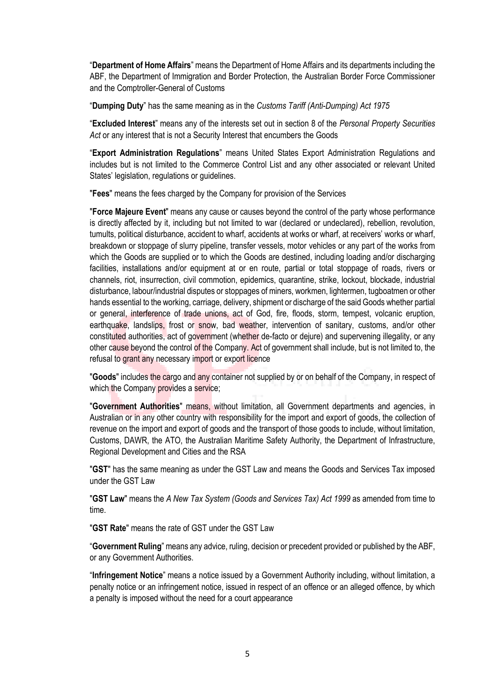"**Department of Home Affairs**" means the Department of Home Affairs and its departments including the ABF, the Department of Immigration and Border Protection, the Australian Border Force Commissioner and the Comptroller-General of Customs

"**Dumping Duty**" has the same meaning as in the *Customs Tariff (Anti-Dumping) Act 1975*

"**Excluded Interest**" means any of the interests set out in section 8 of the *Personal Property Securities Act* or any interest that is not a Security Interest that encumbers the Goods

"**Export Administration Regulations**" means United States Export Administration Regulations and includes but is not limited to the Commerce Control List and any other associated or relevant United States' legislation, regulations or guidelines.

"**Fees**" means the fees charged by the Company for provision of the Services

"**Force Majeure Event**" means any cause or causes beyond the control of the party whose performance is directly affected by it, including but not limited to war (declared or undeclared), rebellion, revolution, tumults, political disturbance, accident to wharf, accidents at works or wharf, at receivers' works or wharf, breakdown or stoppage of slurry pipeline, transfer vessels, motor vehicles or any part of the works from which the Goods are supplied or to which the Goods are destined, including loading and/or discharging facilities, installations and/or equipment at or en route, partial or total stoppage of roads, rivers or channels, riot, insurrection, civil commotion, epidemics, quarantine, strike, lockout, blockade, industrial disturbance, labour/industrial disputes or stoppages of miners, workmen, lightermen, tugboatmen or other hands essential to the working, carriage, delivery, shipment or discharge of the said Goods whether partial or general, interference of trade unions, act of God, fire, floods, storm, tempest, volcanic eruption, earthquake, landslips, frost or snow, bad weather, intervention of sanitary, customs, and/or other constituted authorities, act of government (whether de-facto or dejure) and supervening illegality, or any other cause beyond the control of the Company. Act of government shall include, but is not limited to, the refusal to grant any necessary import or export licence

"**Goods**" includes the cargo and any container not supplied by or on behalf of the Company, in respect of which the Company provides a service;

"**Government Authorities**" means, without limitation, all Government departments and agencies, in Australian or in any other country with responsibility for the import and export of goods, the collection of revenue on the import and export of goods and the transport of those goods to include, without limitation, Customs, DAWR, the ATO, the Australian Maritime Safety Authority, the Department of Infrastructure, Regional Development and Cities and the RSA

"**GST**" has the same meaning as under the GST Law and means the Goods and Services Tax imposed under the GST Law

"**GST Law**" means the *A New Tax System (Goods and Services Tax) Act 1999* as amended from time to time.

"**GST Rate**" means the rate of GST under the GST Law

"**Government Ruling**" means any advice, ruling, decision or precedent provided or published by the ABF, or any Government Authorities.

"**Infringement Notice**" means a notice issued by a Government Authority including, without limitation, a penalty notice or an infringement notice, issued in respect of an offence or an alleged offence, by which a penalty is imposed without the need for a court appearance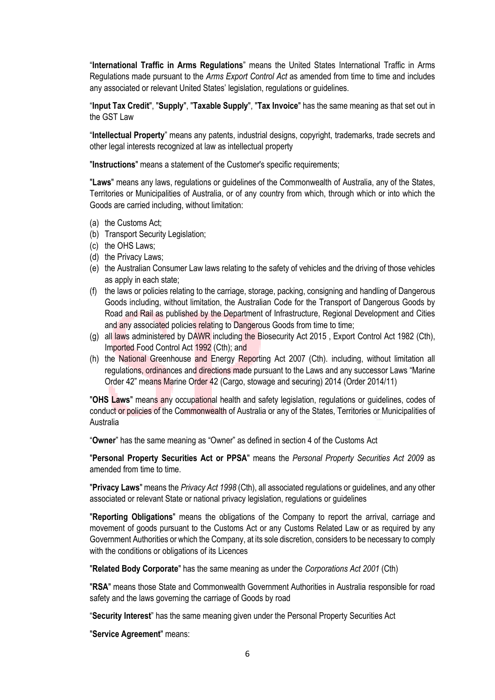"**International Traffic in Arms Regulations**" means the United States International Traffic in Arms Regulations made pursuant to the *Arms Export Control Act* as amended from time to time and includes any associated or relevant United States' legislation, regulations or guidelines.

"**Input Tax Credit**", "**Supply**", "**Taxable Supply**", "**Tax Invoice**" has the same meaning as that set out in the GST Law

"**Intellectual Property**" means any patents, industrial designs, copyright, trademarks, trade secrets and other legal interests recognized at law as intellectual property

"**Instructions**" means a statement of the Customer's specific requirements;

"**Laws**" means any laws, regulations or guidelines of the Commonwealth of Australia, any of the States, Territories or Municipalities of Australia, or of any country from which, through which or into which the Goods are carried including, without limitation:

- (a) the Customs Act;
- (b) Transport Security Legislation;
- (c) the OHS Laws;
- (d) the Privacy Laws;
- (e) the Australian Consumer Law laws relating to the safety of vehicles and the driving of those vehicles as apply in each state;
- (f) the laws or policies relating to the carriage, storage, packing, consigning and handling of Dangerous Goods including, without limitation, the Australian Code for the Transport of Dangerous Goods by Road and Rail as published by the Department of Infrastructure, Regional Development and Cities and any associated policies relating to Dangerous Goods from time to time;
- (g) all laws administered by DAWR including the Biosecurity Act 2015 , Export Control Act 1982 (Cth), Imported Food Control Act 1992 (Cth); and
- (h) the National Greenhouse and Energy Reporting Act 2007 (Cth). including, without limitation all regulations, ordinances and directions made pursuant to the Laws and any successor Laws "Marine Order 42" means Marine Order 42 (Cargo, stowage and securing) 2014 (Order 2014/11)

"**OHS Laws**" means any occupational health and safety legislation, regulations or guidelines, codes of conduct or policies of the Commonwealth of Australia or any of the States, Territories or Municipalities of Australia

"**Owner**" has the same meaning as "Owner" as defined in section 4 of the Customs Act

"**Personal Property Securities Act or PPSA**" means the *Personal Property Securities Act 2009* as amended from time to time.

"**Privacy Laws**" means the *Privacy Act 1998* (Cth), all associated regulations or guidelines, and any other associated or relevant State or national privacy legislation, regulations or guidelines

"**Reporting Obligations**" means the obligations of the Company to report the arrival, carriage and movement of goods pursuant to the Customs Act or any Customs Related Law or as required by any Government Authorities or which the Company, at its sole discretion, considers to be necessary to comply with the conditions or obligations of its Licences

"**Related Body Corporate**" has the same meaning as under the *Corporations Act 2001* (Cth)

"**RSA**" means those State and Commonwealth Government Authorities in Australia responsible for road safety and the laws governing the carriage of Goods by road

"**Security Interest**" has the same meaning given under the Personal Property Securities Act

"**Service Agreement**" means: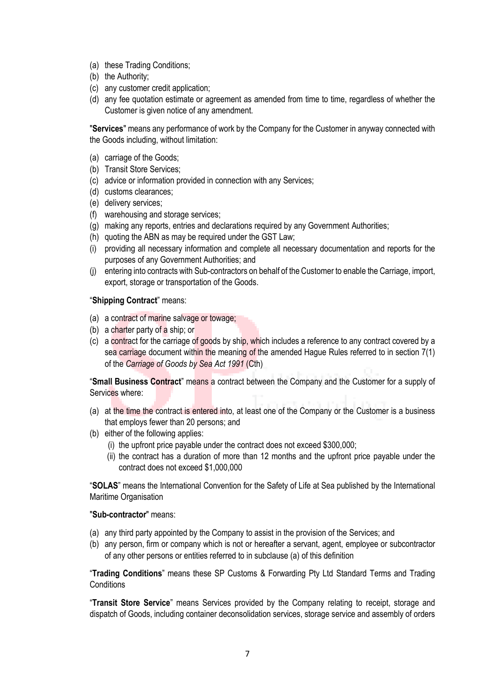- (a) these Trading Conditions;
- (b) the Authority;
- (c) any customer credit application;
- (d) any fee quotation estimate or agreement as amended from time to time, regardless of whether the Customer is given notice of any amendment.

"**Services**" means any performance of work by the Company for the Customer in anyway connected with the Goods including, without limitation:

- (a) carriage of the Goods;
- (b) Transit Store Services;
- (c) advice or information provided in connection with any Services;
- (d) customs clearances;
- (e) delivery services;
- (f) warehousing and storage services;
- (g) making any reports, entries and declarations required by any Government Authorities;
- (h) quoting the ABN as may be required under the GST Law;
- (i) providing all necessary information and complete all necessary documentation and reports for the purposes of any Government Authorities; and
- (j) entering into contracts with Sub-contractors on behalf of the Customer to enable the Carriage, import, export, storage or transportation of the Goods.

#### "**Shipping Contract**" means:

- (a) a contract of marine salvage or towage;
- (b) a charter party of a ship; or
- (c) a contract for the carriage of goods by ship, which includes a reference to any contract covered by a sea carriage document within the meaning of the amended Hague Rules referred to in section 7(1) of the *Carriage of Goods by Sea Act 1991* (Cth)

"**Small Business Contract**" means a contract between the Company and the Customer for a supply of Services where:

- (a) at the time the contract is entered into, at least one of the Company or the Customer is a business that employs fewer than 20 persons; and
- (b) either of the following applies:
	- (i) the upfront price payable under the contract does not exceed \$300,000;
	- (ii) the contract has a duration of more than 12 months and the upfront price payable under the contract does not exceed \$1,000,000

"**SOLAS**" means the International Convention for the Safety of Life at Sea published by the International Maritime Organisation

#### "**Sub-contractor**" means:

- (a) any third party appointed by the Company to assist in the provision of the Services; and
- (b) any person, firm or company which is not or hereafter a servant, agent, employee or subcontractor of any other persons or entities referred to in subclause (a) of this definition

"**Trading Conditions**" means these SP Customs & Forwarding Pty Ltd Standard Terms and Trading **Conditions** 

"**Transit Store Service**" means Services provided by the Company relating to receipt, storage and dispatch of Goods, including container deconsolidation services, storage service and assembly of orders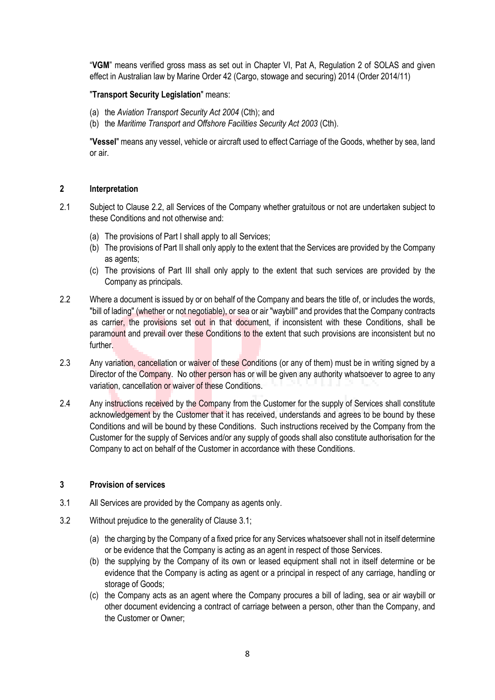"**VGM**" means verified gross mass as set out in Chapter VI, Pat A, Regulation 2 of SOLAS and given effect in Australian law by Marine Order 42 (Cargo, stowage and securing) 2014 (Order 2014/11)

#### "**Transport Security Legislation**" means:

- (a) the *Aviation Transport Security Act 2004* (Cth); and
- (b) the *Maritime Transport and Offshore Facilities Security Act 2003* (Cth).

"**Vessel**" means any vessel, vehicle or aircraft used to effect Carriage of the Goods, whether by sea, land or air.

#### **2 Interpretation**

- 2.1 Subject to Clause 2.2, all Services of the Company whether gratuitous or not are undertaken subject to these Conditions and not otherwise and:
	- (a) The provisions of Part I shall apply to all Services;
	- (b) The provisions of Part II shall only apply to the extent that the Services are provided by the Company as agents;
	- (c) The provisions of Part III shall only apply to the extent that such services are provided by the Company as principals.
- 2.2 Where a document is issued by or on behalf of the Company and bears the title of, or includes the words, "bill of lading" (whether or not negotiable), or sea or air "waybill" and provides that the Company contracts as carrier, the provisions set out in that document, if inconsistent with these Conditions, shall be paramount and prevail over these Conditions to the extent that such provisions are inconsistent but no further.
- 2.3 Any variation, cancellation or waiver of these Conditions (or any of them) must be in writing signed by a Director of the Company. No other person has or will be given any authority whatsoever to agree to any variation, cancellation or waiver of these Conditions.
- 2.4 Any instructions received by the Company from the Customer for the supply of Services shall constitute acknowledgement by the Customer that it has received, understands and agrees to be bound by these Conditions and will be bound by these Conditions. Such instructions received by the Company from the Customer for the supply of Services and/or any supply of goods shall also constitute authorisation for the Company to act on behalf of the Customer in accordance with these Conditions.

#### **3 Provision of services**

- 3.1 All Services are provided by the Company as agents only.
- 3.2 Without prejudice to the generality of Clause 3.1;
	- (a) the charging by the Company of a fixed price for any Services whatsoever shall not in itself determine or be evidence that the Company is acting as an agent in respect of those Services.
	- (b) the supplying by the Company of its own or leased equipment shall not in itself determine or be evidence that the Company is acting as agent or a principal in respect of any carriage, handling or storage of Goods;
	- (c) the Company acts as an agent where the Company procures a bill of lading, sea or air waybill or other document evidencing a contract of carriage between a person, other than the Company, and the Customer or Owner;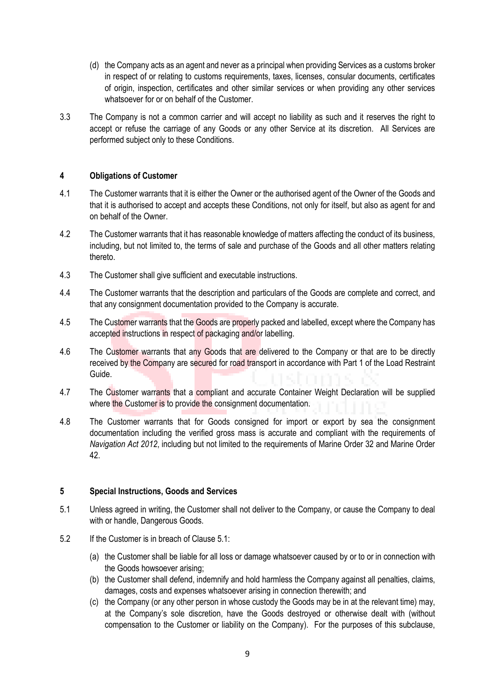- (d) the Company acts as an agent and never as a principal when providing Services as a customs broker in respect of or relating to customs requirements, taxes, licenses, consular documents, certificates of origin, inspection, certificates and other similar services or when providing any other services whatsoever for or on behalf of the Customer.
- 3.3 The Company is not a common carrier and will accept no liability as such and it reserves the right to accept or refuse the carriage of any Goods or any other Service at its discretion. All Services are performed subject only to these Conditions.

#### **4 Obligations of Customer**

- 4.1 The Customer warrants that it is either the Owner or the authorised agent of the Owner of the Goods and that it is authorised to accept and accepts these Conditions, not only for itself, but also as agent for and on behalf of the Owner.
- 4.2 The Customer warrants that it has reasonable knowledge of matters affecting the conduct of its business, including, but not limited to, the terms of sale and purchase of the Goods and all other matters relating thereto.
- 4.3 The Customer shall give sufficient and executable instructions.
- 4.4 The Customer warrants that the description and particulars of the Goods are complete and correct, and that any consignment documentation provided to the Company is accurate.
- 4.5 The Customer warrants that the Goods are properly packed and labelled, except where the Company has accepted instructions in respect of packaging and/or labelling.
- 4.6 The Customer warrants that any Goods that are delivered to the Company or that are to be directly received by the Company are secured for road transport in accordance with Part 1 of the Load Restraint Guide.
- 4.7 The Customer warrants that a compliant and accurate Container Weight Declaration will be supplied where the Customer is to provide the consignment documentation.
- 4.8 The Customer warrants that for Goods consigned for import or export by sea the consignment documentation including the verified gross mass is accurate and compliant with the requirements of *Navigation Act 2012*, including but not limited to the requirements of Marine Order 32 and Marine Order 42.

#### **5 Special Instructions, Goods and Services**

- 5.1 Unless agreed in writing, the Customer shall not deliver to the Company, or cause the Company to deal with or handle, Dangerous Goods.
- 5.2 If the Customer is in breach of Clause 5.1:
	- (a) the Customer shall be liable for all loss or damage whatsoever caused by or to or in connection with the Goods howsoever arising;
	- (b) the Customer shall defend, indemnify and hold harmless the Company against all penalties, claims, damages, costs and expenses whatsoever arising in connection therewith; and
	- (c) the Company (or any other person in whose custody the Goods may be in at the relevant time) may, at the Company's sole discretion, have the Goods destroyed or otherwise dealt with (without compensation to the Customer or liability on the Company). For the purposes of this subclause,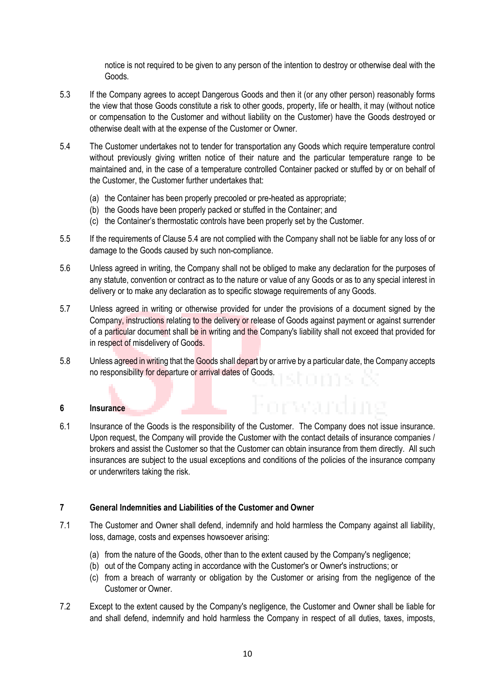notice is not required to be given to any person of the intention to destroy or otherwise deal with the Goods.

- 5.3 If the Company agrees to accept Dangerous Goods and then it (or any other person) reasonably forms the view that those Goods constitute a risk to other goods, property, life or health, it may (without notice or compensation to the Customer and without liability on the Customer) have the Goods destroyed or otherwise dealt with at the expense of the Customer or Owner.
- 5.4 The Customer undertakes not to tender for transportation any Goods which require temperature control without previously giving written notice of their nature and the particular temperature range to be maintained and, in the case of a temperature controlled Container packed or stuffed by or on behalf of the Customer, the Customer further undertakes that:
	- (a) the Container has been properly precooled or pre-heated as appropriate;
	- (b) the Goods have been properly packed or stuffed in the Container; and
	- (c) the Container's thermostatic controls have been properly set by the Customer.
- 5.5 If the requirements of Clause 5.4 are not complied with the Company shall not be liable for any loss of or damage to the Goods caused by such non-compliance.
- 5.6 Unless agreed in writing, the Company shall not be obliged to make any declaration for the purposes of any statute, convention or contract as to the nature or value of any Goods or as to any special interest in delivery or to make any declaration as to specific stowage requirements of any Goods.
- 5.7 Unless agreed in writing or otherwise provided for under the provisions of a document signed by the Company, instructions relating to the delivery or release of Goods against payment or against surrender of a particular document shall be in writing and the Company's liability shall not exceed that provided for in respect of misdelivery of Goods.
- 5.8 Unless agreed in writing that the Goods shall depart by or arrive by a particular date, the Company accepts no responsibility for departure or arrival dates of Goods.

#### **6 Insurance**

6.1 Insurance of the Goods is the responsibility of the Customer. The Company does not issue insurance. Upon request, the Company will provide the Customer with the contact details of insurance companies / brokers and assist the Customer so that the Customer can obtain insurance from them directly. All such insurances are subject to the usual exceptions and conditions of the policies of the insurance company or underwriters taking the risk.

#### **7 General Indemnities and Liabilities of the Customer and Owner**

- 7.1 The Customer and Owner shall defend, indemnify and hold harmless the Company against all liability, loss, damage, costs and expenses howsoever arising:
	- (a) from the nature of the Goods, other than to the extent caused by the Company's negligence;
	- (b) out of the Company acting in accordance with the Customer's or Owner's instructions; or
	- (c) from a breach of warranty or obligation by the Customer or arising from the negligence of the Customer or Owner.
- 7.2 Except to the extent caused by the Company's negligence, the Customer and Owner shall be liable for and shall defend, indemnify and hold harmless the Company in respect of all duties, taxes, imposts,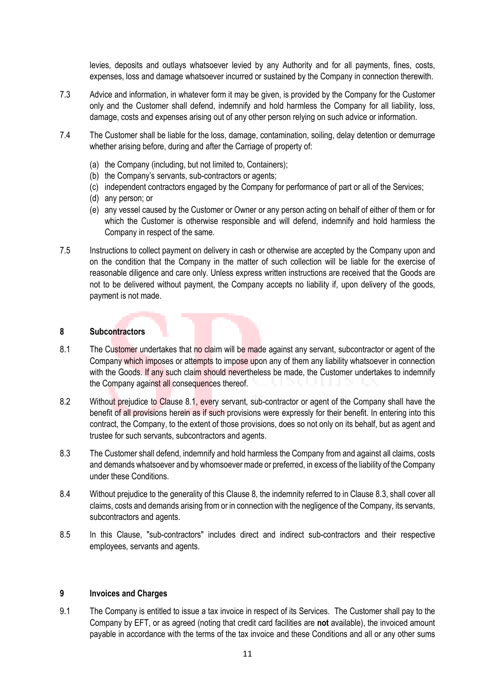levies, deposits and outlays whatsoever levied by any Authority and for all payments, fines, costs, expenses, loss and damage whatsoever incurred or sustained by the Company in connection therewith.

- 7.3 Advice and information, in whatever form it may be given, is provided by the Company for the Customer only and the Customer shall defend, indemnify and hold harmless the Company for all liability, loss, damage, costs and expenses arising out of any other person relying on such advice or information.
- 7.4 The Customer shall be liable for the loss, damage, contamination, soiling, delay detention or demurrage whether arising before, during and after the Carriage of property of:
	- (a) the Company (including, but not limited to, Containers);
	- (b) the Company's servants, sub-contractors or agents;
	- (c) independent contractors engaged by the Company for performance of part or all of the Services;
	- (d) any person; or
	- (e) any vessel caused by the Customer or Owner or any person acting on behalf of either of them or for which the Customer is otherwise responsible and will defend, indemnify and hold harmless the Company in respect of the same.
- 7.5 Instructions to collect payment on delivery in cash or otherwise are accepted by the Company upon and on the condition that the Company in the matter of such collection will be liable for the exercise of reasonable diligence and care only. Unless express written instructions are received that the Goods are not to be delivered without payment, the Company accepts no liability if, upon delivery of the goods, payment is not made.

#### **8 Subcontractors**

- 8.1 The Customer undertakes that no claim will be made against any servant, subcontractor or agent of the Company which imposes or attempts to impose upon any of them any liability whatsoever in connection with the Goods. If any such claim should nevertheless be made, the Customer undertakes to indemnify the Company against all consequences thereof.
- 8.2 Without prejudice to Clause 8.1, every servant, sub-contractor or agent of the Company shall have the benefit of all provisions herein as if such provisions were expressly for their benefit. In entering into this contract, the Company, to the extent of those provisions, does so not only on its behalf, but as agent and trustee for such servants, subcontractors and agents.
- 8.3 The Customer shall defend, indemnify and hold harmless the Company from and against all claims, costs and demands whatsoever and by whomsoever made or preferred, in excess of the liability of the Company under these Conditions.
- 8.4 Without prejudice to the generality of this Clause 8, the indemnity referred to in Clause 8.3, shall cover all claims, costs and demands arising from or in connection with the negligence of the Company, its servants, subcontractors and agents.
- 8.5 In this Clause, "sub-contractors" includes direct and indirect sub-contractors and their respective employees, servants and agents.

#### **9 Invoices and Charges**

9.1 The Company is entitled to issue a tax invoice in respect of its Services. The Customer shall pay to the Company by EFT, or as agreed (noting that credit card facilities are **not** available), the invoiced amount payable in accordance with the terms of the tax invoice and these Conditions and all or any other sums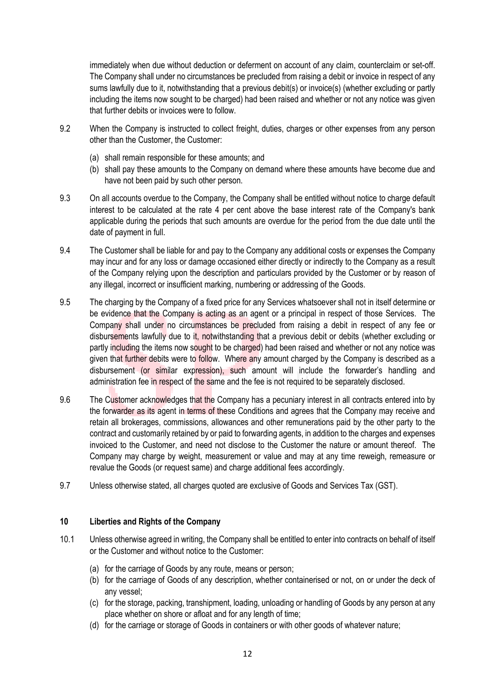immediately when due without deduction or deferment on account of any claim, counterclaim or set-off. The Company shall under no circumstances be precluded from raising a debit or invoice in respect of any sums lawfully due to it, notwithstanding that a previous debit(s) or invoice(s) (whether excluding or partly including the items now sought to be charged) had been raised and whether or not any notice was given that further debits or invoices were to follow.

- 9.2 When the Company is instructed to collect freight, duties, charges or other expenses from any person other than the Customer, the Customer:
	- (a) shall remain responsible for these amounts; and
	- (b) shall pay these amounts to the Company on demand where these amounts have become due and have not been paid by such other person.
- 9.3 On all accounts overdue to the Company, the Company shall be entitled without notice to charge default interest to be calculated at the rate 4 per cent above the base interest rate of the Company's bank applicable during the periods that such amounts are overdue for the period from the due date until the date of payment in full.
- 9.4 The Customer shall be liable for and pay to the Company any additional costs or expenses the Company may incur and for any loss or damage occasioned either directly or indirectly to the Company as a result of the Company relying upon the description and particulars provided by the Customer or by reason of any illegal, incorrect or insufficient marking, numbering or addressing of the Goods.
- 9.5 The charging by the Company of a fixed price for any Services whatsoever shall not in itself determine or be evidence that the Company is acting as an agent or a principal in respect of those Services. The Company shall under no circumstances be precluded from raising a debit in respect of any fee or disbursements lawfully due to it, notwithstanding that a previous debit or debits (whether excluding or partly including the items now sought to be charged) had been raised and whether or not any notice was given that further debits were to follow. Where any amount charged by the Company is described as a disbursement (or similar expression), such amount will include the forwarder's handling and administration fee in respect of the same and the fee is not required to be separately disclosed.
- 9.6 The Customer acknowledges that the Company has a pecuniary interest in all contracts entered into by the forwarder as its agent in terms of these Conditions and agrees that the Company may receive and retain all brokerages, commissions, allowances and other remunerations paid by the other party to the contract and customarily retained by or paid to forwarding agents, in addition to the charges and expenses invoiced to the Customer, and need not disclose to the Customer the nature or amount thereof. The Company may charge by weight, measurement or value and may at any time reweigh, remeasure or revalue the Goods (or request same) and charge additional fees accordingly.
- 9.7 Unless otherwise stated, all charges quoted are exclusive of Goods and Services Tax (GST).

#### **10 Liberties and Rights of the Company**

- 10.1 Unless otherwise agreed in writing, the Company shall be entitled to enter into contracts on behalf of itself or the Customer and without notice to the Customer:
	- (a) for the carriage of Goods by any route, means or person;
	- (b) for the carriage of Goods of any description, whether containerised or not, on or under the deck of any vessel;
	- (c) for the storage, packing, transhipment, loading, unloading or handling of Goods by any person at any place whether on shore or afloat and for any length of time;
	- (d) for the carriage or storage of Goods in containers or with other goods of whatever nature;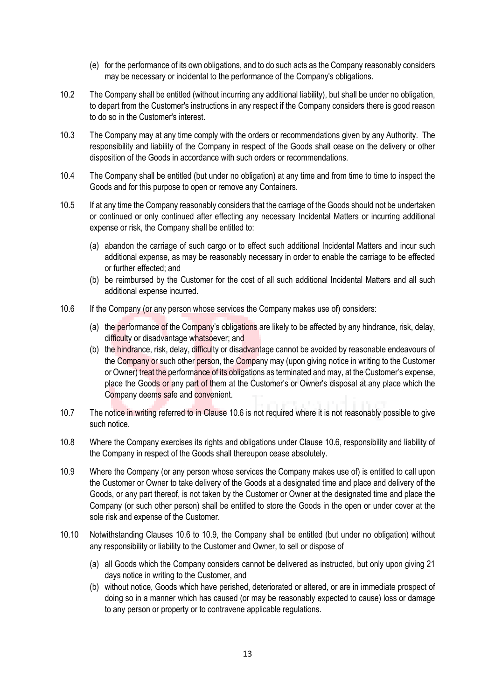- (e) for the performance of its own obligations, and to do such acts as the Company reasonably considers may be necessary or incidental to the performance of the Company's obligations.
- 10.2 The Company shall be entitled (without incurring any additional liability), but shall be under no obligation, to depart from the Customer's instructions in any respect if the Company considers there is good reason to do so in the Customer's interest.
- 10.3 The Company may at any time comply with the orders or recommendations given by any Authority. The responsibility and liability of the Company in respect of the Goods shall cease on the delivery or other disposition of the Goods in accordance with such orders or recommendations.
- 10.4 The Company shall be entitled (but under no obligation) at any time and from time to time to inspect the Goods and for this purpose to open or remove any Containers.
- 10.5 If at any time the Company reasonably considers that the carriage of the Goods should not be undertaken or continued or only continued after effecting any necessary Incidental Matters or incurring additional expense or risk, the Company shall be entitled to:
	- (a) abandon the carriage of such cargo or to effect such additional Incidental Matters and incur such additional expense, as may be reasonably necessary in order to enable the carriage to be effected or further effected; and
	- (b) be reimbursed by the Customer for the cost of all such additional Incidental Matters and all such additional expense incurred.
- 10.6 If the Company (or any person whose services the Company makes use of) considers:
	- (a) the performance of the Company's obligations are likely to be affected by any hindrance, risk, delay, difficulty or disadvantage whatsoever; and
	- (b) the hindrance, risk, delay, difficulty or disadvantage cannot be avoided by reasonable endeavours of the Company or such other person, the Company may (upon giving notice in writing to the Customer or Owner) treat the performance of its obligations as terminated and may, at the Customer's expense, place the Goods or any part of them at the Customer's or Owner's disposal at any place which the Company deems safe and convenient.
- 10.7 The notice in writing referred to in Clause 10.6 is not required where it is not reasonably possible to give such notice.
- 10.8 Where the Company exercises its rights and obligations under Clause 10.6, responsibility and liability of the Company in respect of the Goods shall thereupon cease absolutely.
- 10.9 Where the Company (or any person whose services the Company makes use of) is entitled to call upon the Customer or Owner to take delivery of the Goods at a designated time and place and delivery of the Goods, or any part thereof, is not taken by the Customer or Owner at the designated time and place the Company (or such other person) shall be entitled to store the Goods in the open or under cover at the sole risk and expense of the Customer.
- 10.10 Notwithstanding Clauses 10.6 to 10.9, the Company shall be entitled (but under no obligation) without any responsibility or liability to the Customer and Owner, to sell or dispose of
	- (a) all Goods which the Company considers cannot be delivered as instructed, but only upon giving 21 days notice in writing to the Customer, and
	- (b) without notice, Goods which have perished, deteriorated or altered, or are in immediate prospect of doing so in a manner which has caused (or may be reasonably expected to cause) loss or damage to any person or property or to contravene applicable regulations.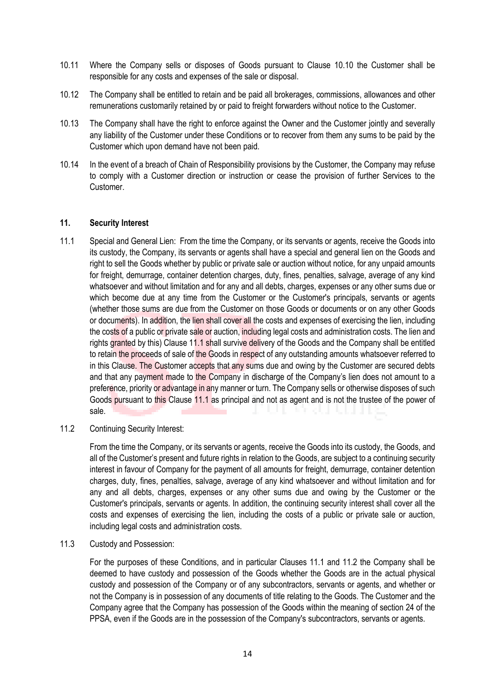- 10.11 Where the Company sells or disposes of Goods pursuant to Clause 10.10 the Customer shall be responsible for any costs and expenses of the sale or disposal.
- 10.12 The Company shall be entitled to retain and be paid all brokerages, commissions, allowances and other remunerations customarily retained by or paid to freight forwarders without notice to the Customer.
- 10.13 The Company shall have the right to enforce against the Owner and the Customer jointly and severally any liability of the Customer under these Conditions or to recover from them any sums to be paid by the Customer which upon demand have not been paid.
- 10.14 In the event of a breach of Chain of Responsibility provisions by the Customer, the Company may refuse to comply with a Customer direction or instruction or cease the provision of further Services to the Customer.

#### **11. Security Interest**

- 11.1 Special and General Lien: From the time the Company, or its servants or agents, receive the Goods into its custody, the Company, its servants or agents shall have a special and general lien on the Goods and right to sell the Goods whether by public or private sale or auction without notice, for any unpaid amounts for freight, demurrage, container detention charges, duty, fines, penalties, salvage, average of any kind whatsoever and without limitation and for any and all debts, charges, expenses or any other sums due or which become due at any time from the Customer or the Customer's principals, servants or agents (whether those sums are due from the Customer on those Goods or documents or on any other Goods or documents). In addition, the lien shall cover all the costs and expenses of exercising the lien, including the costs of a public or private sale or auction, including legal costs and administration costs. The lien and rights granted by this) Clause 11.1 shall survive delivery of the Goods and the Company shall be entitled to retain the proceeds of sale of the Goods in respect of any outstanding amounts whatsoever referred to in this Clause. The Customer accepts that any sums due and owing by the Customer are secured debts and that any payment made to the Company in discharge of the Company's lien does not amount to a preference, priority or advantage in any manner or turn. The Company sells or otherwise disposes of such Goods pursuant to this Clause 11.1 as principal and not as agent and is not the trustee of the power of sale. and the contract a a
- 11.2 Continuing Security Interest:

From the time the Company, or its servants or agents, receive the Goods into its custody, the Goods, and all of the Customer's present and future rights in relation to the Goods, are subject to a continuing security interest in favour of Company for the payment of all amounts for freight, demurrage, container detention charges, duty, fines, penalties, salvage, average of any kind whatsoever and without limitation and for any and all debts, charges, expenses or any other sums due and owing by the Customer or the Customer's principals, servants or agents. In addition, the continuing security interest shall cover all the costs and expenses of exercising the lien, including the costs of a public or private sale or auction, including legal costs and administration costs.

#### 11.3 Custody and Possession:

For the purposes of these Conditions, and in particular Clauses 11.1 and 11.2 the Company shall be deemed to have custody and possession of the Goods whether the Goods are in the actual physical custody and possession of the Company or of any subcontractors, servants or agents, and whether or not the Company is in possession of any documents of title relating to the Goods. The Customer and the Company agree that the Company has possession of the Goods within the meaning of section 24 of the PPSA, even if the Goods are in the possession of the Company's subcontractors, servants or agents.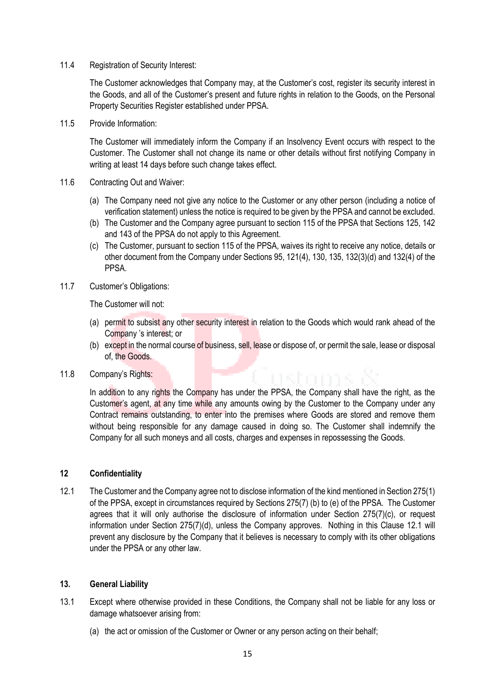11.4 Registration of Security Interest:

The Customer acknowledges that Company may, at the Customer's cost, register its security interest in the Goods, and all of the Customer's present and future rights in relation to the Goods, on the Personal Property Securities Register established under PPSA.

11.5 Provide Information:

The Customer will immediately inform the Company if an Insolvency Event occurs with respect to the Customer. The Customer shall not change its name or other details without first notifying Company in writing at least 14 days before such change takes effect.

- 11.6 Contracting Out and Waiver:
	- (a) The Company need not give any notice to the Customer or any other person (including a notice of verification statement) unless the notice is required to be given by the PPSA and cannot be excluded.
	- (b) The Customer and the Company agree pursuant to section 115 of the PPSA that Sections 125, 142 and 143 of the PPSA do not apply to this Agreement.
	- (c) The Customer, pursuant to section 115 of the PPSA, waives its right to receive any notice, details or other document from the Company under Sections 95, 121(4), 130, 135, 132(3)(d) and 132(4) of the PPSA.
- 11.7 Customer's Obligations:

The Customer will not:

- (a) permit to subsist any other security interest in relation to the Goods which would rank ahead of the Company 's interest; or
- (b) except in the normal course of business, sell, lease or dispose of, or permit the sale, lease or disposal of, the Goods.
- 11.8 Company's Rights:

In addition to any rights the Company has under the PPSA, the Company shall have the right, as the Customer's agent, at any time while any amounts owing by the Customer to the Company under any Contract remains outstanding, to enter into the premises where Goods are stored and remove them without being responsible for any damage caused in doing so. The Customer shall indemnify the Company for all such moneys and all costs, charges and expenses in repossessing the Goods.

#### **12 Confidentiality**

12.1 The Customer and the Company agree not to disclose information of the kind mentioned in Section 275(1) of the PPSA, except in circumstances required by Sections 275(7) (b) to (e) of the PPSA. The Customer agrees that it will only authorise the disclosure of information under Section 275(7)(c), or request information under Section 275(7)(d), unless the Company approves. Nothing in this Clause 12.1 will prevent any disclosure by the Company that it believes is necessary to comply with its other obligations under the PPSA or any other law.

#### **13. General Liability**

- 13.1 Except where otherwise provided in these Conditions, the Company shall not be liable for any loss or damage whatsoever arising from:
	- (a) the act or omission of the Customer or Owner or any person acting on their behalf;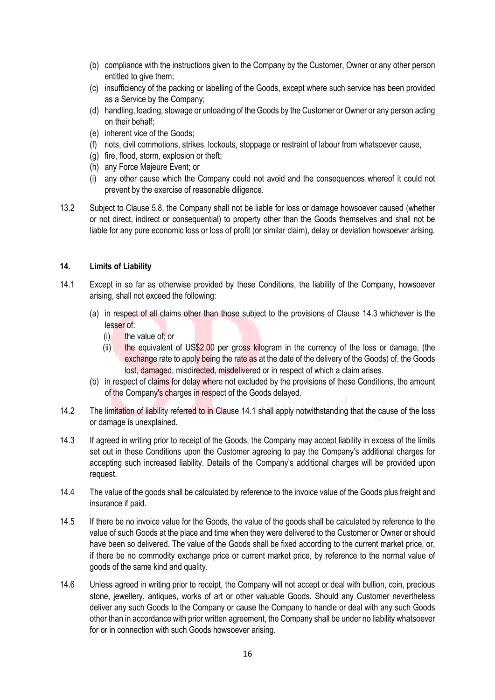- (b) compliance with the instructions given to the Company by the Customer, Owner or any other person entitled to give them;
- (c) insufficiency of the packing or labelling of the Goods, except where such service has been provided as a Service by the Company;
- (d) handling, loading, stowage or unloading of the Goods by the Customer or Owner or any person acting on their behalf;
- (e) inherent vice of the Goods;
- (f) riots, civil commotions, strikes, lockouts, stoppage or restraint of labour from whatsoever cause,
- (g) fire, flood, storm, explosion or theft;
- (h) any Force Majeure Event; or
- (i) any other cause which the Company could not avoid and the consequences whereof it could not prevent by the exercise of reasonable diligence.
- 13.2 Subject to Clause 5.8, the Company shall not be liable for loss or damage howsoever caused (whether or not direct, indirect or consequential) to property other than the Goods themselves and shall not be liable for any pure economic loss or loss of profit (or similar claim), delay or deviation howsoever arising.

#### **14. Limits of Liability**

- 14.1 Except in so far as otherwise provided by these Conditions, the liability of the Company, howsoever arising, shall not exceed the following:
	- (a) in respect of all claims other than those subject to the provisions of Clause 14.3 whichever is the lesser of:
		- (i) the value of; or
		- (ii) the equivalent of US\$2.00 per gross kilogram in the currency of the loss or damage, (the exchange rate to apply being the rate as at the date of the delivery of the Goods) of, the Goods lost, damaged, misdirected, misdelivered or in respect of which a claim arises.
	- (b) in respect of claims for delay where not excluded by the provisions of these Conditions, the amount of the Company's charges in respect of the Goods delayed.
- 14.2 The limitation of liability referred to in Clause 14.1 shall apply notwithstanding that the cause of the loss or damage is unexplained.
- 14.3 If agreed in writing prior to receipt of the Goods, the Company may accept liability in excess of the limits set out in these Conditions upon the Customer agreeing to pay the Company's additional charges for accepting such increased liability. Details of the Company's additional charges will be provided upon request.
- 14.4 The value of the goods shall be calculated by reference to the invoice value of the Goods plus freight and insurance if paid.
- 14.5 If there be no invoice value for the Goods, the value of the goods shall be calculated by reference to the value of such Goods at the place and time when they were delivered to the Customer or Owner or should have been so delivered. The value of the Goods shall be fixed according to the current market price, or, if there be no commodity exchange price or current market price, by reference to the normal value of goods of the same kind and quality.
- 14.6 Unless agreed in writing prior to receipt, the Company will not accept or deal with bullion, coin, precious stone, jewellery, antiques, works of art or other valuable Goods. Should any Customer nevertheless deliver any such Goods to the Company or cause the Company to handle or deal with any such Goods other than in accordance with prior written agreement, the Company shall be under no liability whatsoever for or in connection with such Goods howsoever arising.